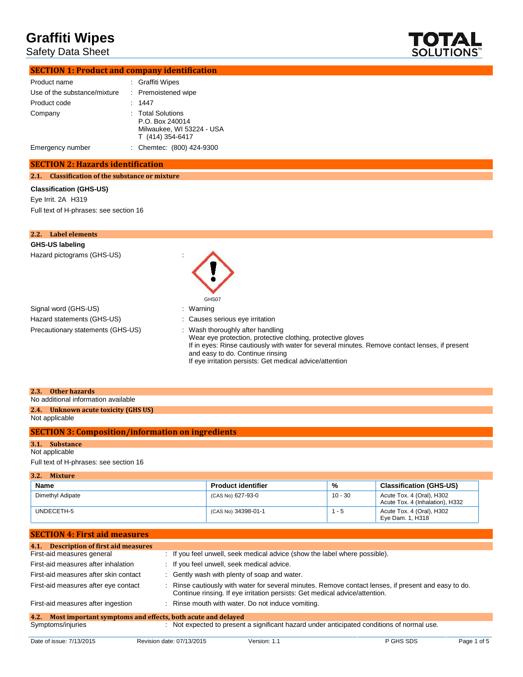Safety Data Sheet



| <b>SECTION 1: Product and company identification</b> |
|------------------------------------------------------|
|                                                      |

| Product name                 | : Graffiti Wipes                                                                      |
|------------------------------|---------------------------------------------------------------------------------------|
| Use of the substance/mixture | : Premoistened wipe                                                                   |
| Product code                 | : 1447                                                                                |
| Company                      | : Total Solutions<br>P.O. Box 240014<br>Milwaukee, WI 53224 - USA<br>T (414) 354-6417 |
| Emergency number             | : Chemtec: (800) 424-9300                                                             |

### **SECTION 2: Hazards identification**

**2.1. Classification of the substance or mixture**

#### **Classification (GHS-US)**

Eye Irrit. 2A H319 Full text of H-phrases: see section 16

| 2.2. Label elements               |                                                                                                                                                                                                                                                                                                   |
|-----------------------------------|---------------------------------------------------------------------------------------------------------------------------------------------------------------------------------------------------------------------------------------------------------------------------------------------------|
| GHS-US labeling                   |                                                                                                                                                                                                                                                                                                   |
| Hazard pictograms (GHS-US)        | GHS07                                                                                                                                                                                                                                                                                             |
| Signal word (GHS-US)              | : Warning                                                                                                                                                                                                                                                                                         |
| Hazard statements (GHS-US)        | : Causes serious eye irritation                                                                                                                                                                                                                                                                   |
| Precautionary statements (GHS-US) | : Wash thoroughly after handling<br>Wear eye protection, protective clothing, protective gloves<br>If in eyes: Rinse cautiously with water for several minutes. Remove contact lenses, if present<br>and easy to do. Continue rinsing<br>If eye irritation persists: Get medical advice/attention |

| 2.3. Other hazards                  |  |
|-------------------------------------|--|
| No additional information available |  |

# **2.4. Unknown acute toxicity (GHS US)**

Not applicable

## **SECTION 3: Composition/information on ingredients**

## **3.1. Substance**

Not applicable

Full text of H-phrases: see section 16

| 3.2.<br><b>Mixture</b> |                           |         |                                                              |  |
|------------------------|---------------------------|---------|--------------------------------------------------------------|--|
| Name                   | <b>Product identifier</b> | %       | <b>Classification (GHS-US)</b>                               |  |
| Dimethyl Adipate       | (CAS No) 627-93-0         | 10 - 30 | Acute Tox. 4 (Oral), H302<br>Acute Tox. 4 (Inhalation), H332 |  |
| UNDECETH-5             | (CAS No) 34398-01-1       | $1 - 5$ | Acute Tox. 4 (Oral), H302<br>Eye Dam. 1, H318                |  |

| 4.1. Description of first aid measures                              |                                                                                                                                                                                   |
|---------------------------------------------------------------------|-----------------------------------------------------------------------------------------------------------------------------------------------------------------------------------|
| First-aid measures general                                          | : If you feel unwell, seek medical advice (show the label where possible).                                                                                                        |
| First-aid measures after inhalation                                 | : If you feel unwell, seek medical advice.                                                                                                                                        |
| First-aid measures after skin contact                               | : Gently wash with plenty of soap and water.                                                                                                                                      |
| First-aid measures after eye contact                                | Rinse cautiously with water for several minutes. Remove contact lenses, if present and easy to do.<br>Continue rinsing. If eye irritation persists: Get medical advice/attention. |
| First-aid measures after ingestion                                  | : Rinse mouth with water. Do not induce vomiting.                                                                                                                                 |
| Most important symptoms and effects, both acute and delayed<br>4.2. |                                                                                                                                                                                   |

### Symptoms/injuries : Not expected to present a significant hazard under anticipated conditions of normal use.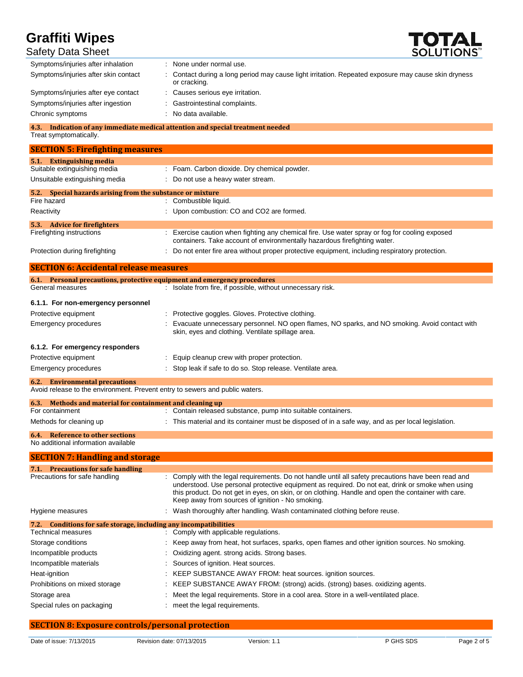

| Safety Data Sheet                       | SOLUTIONS"                                                                                                          |
|-----------------------------------------|---------------------------------------------------------------------------------------------------------------------|
| Symptoms/injuries after inhalation      | : None under normal use.                                                                                            |
| Symptoms/injuries after skin contact    | : Contact during a long period may cause light irritation. Repeated exposure may cause skin dryness<br>or cracking. |
| Symptoms/injuries after eye contact     | : Causes serious eye irritation.                                                                                    |
| Symptoms/injuries after ingestion       | : Gastrointestinal complaints.                                                                                      |
| Chronic symptoms                        | : No data available.                                                                                                |
| 4.3.<br>Treat symptomatically.          | Indication of any immediate medical attention and special treatment needed                                          |
| <b>SECTION 5: Firefighting measures</b> |                                                                                                                     |
| <b>Extinguishing media</b><br>5.1.      |                                                                                                                     |
| Suitable extinguishing media            | : Foam. Carbon dioxide. Dry chemical powder.                                                                        |

| Unsuitable extinguishing media                             | : Do not use a heavy water stream.                                                                                                                                          |
|------------------------------------------------------------|-----------------------------------------------------------------------------------------------------------------------------------------------------------------------------|
| 5.2. Special hazards arising from the substance or mixture |                                                                                                                                                                             |
| Fire hazard                                                | : Combustible liquid.                                                                                                                                                       |
| Reactivity                                                 | : Upon combustion: CO and CO2 are formed.                                                                                                                                   |
| 5.3.<br><b>Advice for firefighters</b>                     |                                                                                                                                                                             |
| Firefighting instructions                                  | : Exercise caution when fighting any chemical fire. Use water spray or fog for cooling exposed<br>containers. Take account of environmentally hazardous firefighting water. |
| Protection during firefighting                             | : Do not enter fire area without proper protective equipment, including respiratory protection.                                                                             |

| <b>SECTION 6: Accidental release measures</b>             |                                                                                                                                                    |  |
|-----------------------------------------------------------|----------------------------------------------------------------------------------------------------------------------------------------------------|--|
|                                                           | 6.1. Personal precautions, protective equipment and emergency procedures                                                                           |  |
| General measures                                          | Isolate from fire, if possible, without unnecessary risk.                                                                                          |  |
| 6.1.1. For non-emergency personnel                        |                                                                                                                                                    |  |
| Protective equipment                                      | Protective goggles. Gloves. Protective clothing.                                                                                                   |  |
| Emergency procedures                                      | Evacuate unnecessary personnel. NO open flames, NO sparks, and NO smoking. Avoid contact with<br>skin, eyes and clothing. Ventilate spillage area. |  |
| 6.1.2. For emergency responders                           |                                                                                                                                                    |  |
| Protective equipment                                      | Equip cleanup crew with proper protection.                                                                                                         |  |
| Emergency procedures                                      | : Stop leak if safe to do so. Stop release. Ventilate area.                                                                                        |  |
| <b>Environmental precautions</b><br>6.2.                  |                                                                                                                                                    |  |
|                                                           | Avoid release to the environment. Prevent entry to sewers and public waters.                                                                       |  |
| 6.3. Methods and material for containment and cleaning up |                                                                                                                                                    |  |

| <b>0.3. Methods and material for contaminent and cleaning up</b> |                                                                                                    |
|------------------------------------------------------------------|----------------------------------------------------------------------------------------------------|
| For containment                                                  | : Contain released substance, pump into suitable containers.                                       |
| Methods for cleaning up                                          | : This material and its container must be disposed of in a safe way, and as per local legislation. |
| <b>6.4.</b> Reference to other sections                          |                                                                                                    |

## No additional information available

| <b>SECTION 7: Handling and storage</b>                               |                                                                                                                                                                                                                                                                                                                                                                    |
|----------------------------------------------------------------------|--------------------------------------------------------------------------------------------------------------------------------------------------------------------------------------------------------------------------------------------------------------------------------------------------------------------------------------------------------------------|
| <b>Precautions for safe handling</b><br>7.1.                         |                                                                                                                                                                                                                                                                                                                                                                    |
| Precautions for safe handling                                        | : Comply with the legal requirements. Do not handle until all safety precautions have been read and<br>understood. Use personal protective equipment as required. Do not eat, drink or smoke when using<br>this product. Do not get in eyes, on skin, or on clothing. Handle and open the container with care.<br>Keep away from sources of ignition - No smoking. |
| Hygiene measures                                                     | : Wash thoroughly after handling. Wash contaminated clothing before reuse.                                                                                                                                                                                                                                                                                         |
| Conditions for safe storage, including any incompatibilities<br>7.2. |                                                                                                                                                                                                                                                                                                                                                                    |
| Technical measures                                                   | : Comply with applicable regulations.                                                                                                                                                                                                                                                                                                                              |
| Storage conditions                                                   | : Keep away from heat, hot surfaces, sparks, open flames and other ignition sources. No smoking.                                                                                                                                                                                                                                                                   |
| Incompatible products                                                | : Oxidizing agent. strong acids. Strong bases.                                                                                                                                                                                                                                                                                                                     |
| Incompatible materials                                               | : Sources of ignition. Heat sources.                                                                                                                                                                                                                                                                                                                               |
| Heat-ignition                                                        | : KEEP SUBSTANCE AWAY FROM: heat sources. ignition sources.                                                                                                                                                                                                                                                                                                        |
| Prohibitions on mixed storage                                        | : KEEP SUBSTANCE AWAY FROM: (strong) acids. (strong) bases. oxidizing agents.                                                                                                                                                                                                                                                                                      |
| Storage area                                                         | : Meet the legal requirements. Store in a cool area. Store in a well-ventilated place.                                                                                                                                                                                                                                                                             |
| Special rules on packaging                                           | : meet the legal requirements.                                                                                                                                                                                                                                                                                                                                     |

## **SECTION 8: Exposure controls/personal protection**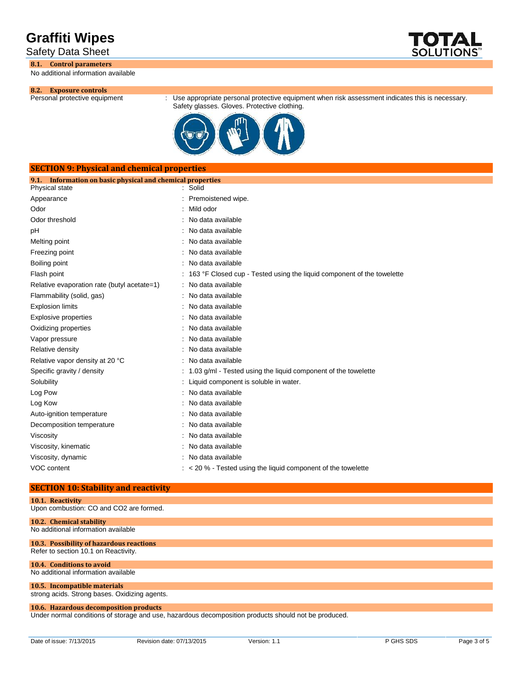Safety Data Sheet

### **8.1. Control parameters**

No additional information available



: Use appropriate personal protective equipment when risk assessment indicates this is necessary. Safety glasses. Gloves. Protective clothing.



# **SECTION 9: Physical and chemical properties 9.1. Information on basic physical and chemical properties** Physical state Appearance : Premoistened wipe. Odor : Mild odor Odor threshold : No data available : No data available pH : No data available Melting point **in the case of the case of the case of the case of the case of the case of the case of the case of the case of the case of the case of the case of the case of the case of the case of the case of the case of** Freezing point **in the case of the case of the case of the case of the case of the case of the case of the case of the case of the case of the case of the case of the case of the case of the case of the case of the case of** Boiling point **in the case of the case of the case of the case of the case of the case of the case of the case of the case of the case of the case of the case of the case of the case of the case of the case of the case of** Flash point **Flash point** : 163 °F Closed cup - Tested using the liquid component of the towelette Relative evaporation rate (butyl acetate=1) : No data available Flammability (solid, gas) : No data available Explosion limits **Explosion** limits **Explosion** limits **Explosion** in Modata available Explosive properties **in the set of the CO** is No data available Oxidizing properties **in the contract of the Contract August** 2012 : No data available Vapor pressure in the set of the set of the set of the Vapor pressure in the value of the Vapor control of the V Relative density in the set of the set of the North Selative density in the North Selative density Relative vapor density at 20 °C : No data available Specific gravity / density  $\cdot$  1.03 g/ml - Tested using the liquid component of the towelette Solubility : Liquid component is soluble in water. Log Pow **:** No data available Log Kow **: No data available** Auto-ignition temperature **interest and the Contract Contract Auto-** : No data available Decomposition temperature **interest and the Composition temperature** : No data available Viscosity : No data available Viscosity, kinematic **intervalse in the Contract of Contract Available** : No data available Viscosity, dynamic **intervalse in the Contract of Contract Available** : No data available VOC content  $\sim$  20 % - Tested using the liquid component of the towelette

# **SECTION 10: Stability and reactivity**

| 10.1. Reactivity                        |
|-----------------------------------------|
| Upon combustion: CO and CO2 are formed. |

| 10.2. Chemical stability                 |  |
|------------------------------------------|--|
| No additional information available      |  |
| 10.3. Possibility of hazardous reactions |  |
| Refer to section 10.1 on Reactivity.     |  |
|                                          |  |

**10.4. Conditions to avoid** No additional information available

#### **10.5. Incompatible materials** strong acids. Strong bases. Oxidizing agents.

## **10.6. Hazardous decomposition products**

Under normal conditions of storage and use, hazardous decomposition products should not be produced.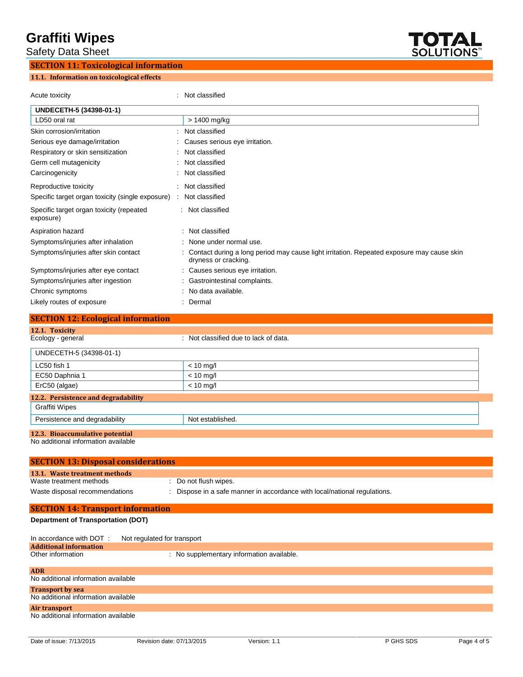**Safety Data Sheet** 

# **SECTION 11: Toxicological information 11.1. Information on toxicological effects**



Acute toxicity **in the case of the Case of the Case of the Case of the Case of the Case of the Case of the Case of the Case of the Case of the Case of the Case of the Case of the Case of the Case of the Case of the Case of** 

| UNDECETH-5 (34398-01-1)                                      |                                                                                                                     |
|--------------------------------------------------------------|---------------------------------------------------------------------------------------------------------------------|
| LD50 oral rat                                                | > 1400 mg/kg                                                                                                        |
| Skin corrosion/irritation                                    | Not classified                                                                                                      |
| Serious eye damage/irritation                                | Causes serious eye irritation.                                                                                      |
| Respiratory or skin sensitization                            | Not classified                                                                                                      |
| Germ cell mutagenicity                                       | Not classified                                                                                                      |
| Carcinogenicity                                              | Not classified                                                                                                      |
|                                                              |                                                                                                                     |
| Reproductive toxicity                                        | Not classified                                                                                                      |
| Specific target organ toxicity (single exposure)             | Not classified                                                                                                      |
| Specific target organ toxicity (repeated<br>exposure)        | : Not classified                                                                                                    |
| Aspiration hazard                                            | : Not classified                                                                                                    |
| Symptoms/injuries after inhalation                           | None under normal use.                                                                                              |
| Symptoms/injuries after skin contact                         | : Contact during a long period may cause light irritation. Repeated exposure may cause skin<br>dryness or cracking. |
| Symptoms/injuries after eye contact                          | : Causes serious eye irritation.                                                                                    |
| Symptoms/injuries after ingestion                            | : Gastrointestinal complaints.                                                                                      |
| Chronic symptoms                                             | : No data available.                                                                                                |
| Likely routes of exposure                                    | : Dermal                                                                                                            |
| <b>SECTION 12: Ecological information</b>                    |                                                                                                                     |
| 12.1. Toxicity                                               |                                                                                                                     |
| Ecology - general                                            | : Not classified due to lack of data.                                                                               |
| UNDECETH-5 (34398-01-1)                                      |                                                                                                                     |
| LC50 fish 1                                                  | $< 10$ mg/l                                                                                                         |
| EC50 Daphnia 1                                               | $< 10$ mg/l                                                                                                         |
| ErC50 (algae)                                                | $< 10$ mg/l                                                                                                         |
|                                                              |                                                                                                                     |
| 12.2. Persistence and degradability<br><b>Graffiti Wipes</b> |                                                                                                                     |
| Persistence and degradability                                | Not established.                                                                                                    |
| 12.3. Bioaccumulative potential                              |                                                                                                                     |
| No additional information available                          |                                                                                                                     |
| <b>SECTION 13: Disposal considerations</b>                   |                                                                                                                     |
|                                                              |                                                                                                                     |
| 13.1. Waste treatment methods<br>Waste treatment methods     | : Do not flush wipes                                                                                                |
| Waste disposal recommendations                               | : Dispose in a safe manner in accordance with local/national regulations.                                           |
|                                                              |                                                                                                                     |
| <b>SECTION 14: Transport information</b>                     |                                                                                                                     |
| <b>Department of Transportation (DOT)</b>                    |                                                                                                                     |
| Not regulated for transport<br>In accordance with DOT:       |                                                                                                                     |
| <b>Additional information</b><br>Other information           | : No supplementary information available.                                                                           |
|                                                              |                                                                                                                     |
| <b>ADR</b><br>No additional information available            |                                                                                                                     |
| <b>Transport by sea</b>                                      |                                                                                                                     |
| No additional information available                          |                                                                                                                     |
| Air transport<br>No additional information available         |                                                                                                                     |